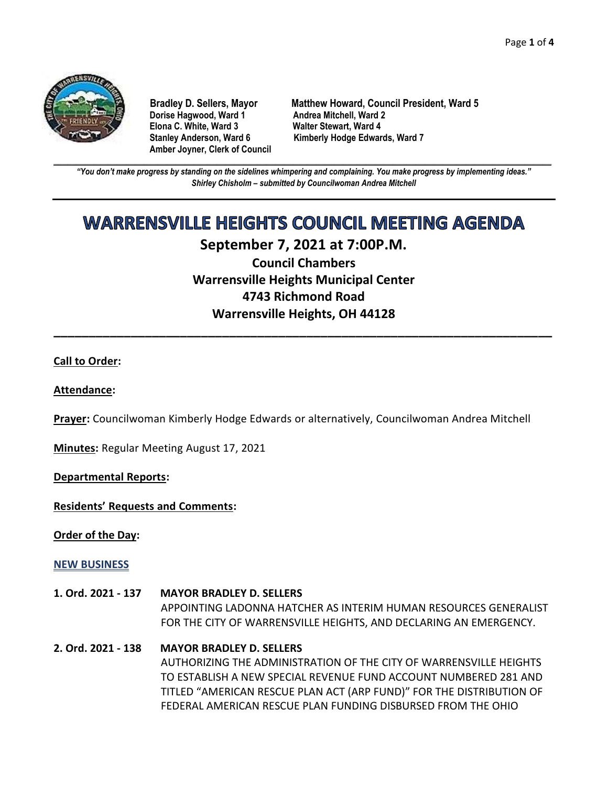

**Dorise Hagwood, Ward 1 Elona C. White, Ward 3 Walter Stewart, Ward 4 Amber Joyner, Clerk of Council**

**Bradley D. Sellers, Mayor Matthew Howard, Council President, Ward 5** Stanley Anderson, Ward 6 Kimberly Hodge Edwards, Ward 7

**\_\_\_\_\_\_\_\_\_\_\_\_\_\_\_\_\_\_\_\_\_\_\_\_\_\_\_\_\_\_\_\_\_\_\_\_\_\_\_\_\_\_\_\_\_\_\_\_\_\_\_\_\_\_\_\_\_\_\_\_\_\_\_\_\_\_\_\_\_\_\_\_\_\_\_\_\_\_\_\_\_\_\_\_\_\_\_\_\_\_\_\_\_\_\_\_\_\_\_\_\_\_\_\_\_\_\_\_\_\_** *"You don't make progress by standing on the sidelines whimpering and complaining. You make progress by implementing ideas." Shirley Chisholm – submitted by Councilwoman Andrea Mitchell*

# **WARRENSVILLE HEIGHTS COUNCIL MEETING AGENDA**

## **September 7, 2021 at 7:00P.M. Council Chambers**

**Warrensville Heights Municipal Center 4743 Richmond Road Warrensville Heights, OH 44128**

**\_\_\_\_\_\_\_\_\_\_\_\_\_\_\_\_\_\_\_\_\_\_\_\_\_\_\_\_\_\_\_\_\_\_\_\_\_\_\_\_\_\_\_\_\_\_\_\_\_\_\_\_\_\_\_\_\_\_\_\_\_\_\_\_\_\_\_\_\_\_\_**

#### **Call to Order:**

#### **Attendance:**

**Prayer:** Councilwoman Kimberly Hodge Edwards or alternatively, Councilwoman Andrea Mitchell

**Minutes:** Regular Meeting August 17, 2021

**Departmental Reports:**

**Residents' Requests and Comments:**

**Order of the Day:**

#### **NEW BUSINESS**

- **1. Ord. 2021 - 137 MAYOR BRADLEY D. SELLERS** APPOINTING LADONNA HATCHER AS INTERIM HUMAN RESOURCES GENERALIST FOR THE CITY OF WARRENSVILLE HEIGHTS, AND DECLARING AN EMERGENCY.
- **2. Ord. 2021 - 138 MAYOR BRADLEY D. SELLERS** AUTHORIZING THE ADMINISTRATION OF THE CITY OF WARRENSVILLE HEIGHTS TO ESTABLISH A NEW SPECIAL REVENUE FUND ACCOUNT NUMBERED 281 AND TITLED "AMERICAN RESCUE PLAN ACT (ARP FUND)" FOR THE DISTRIBUTION OF FEDERAL AMERICAN RESCUE PLAN FUNDING DISBURSED FROM THE OHIO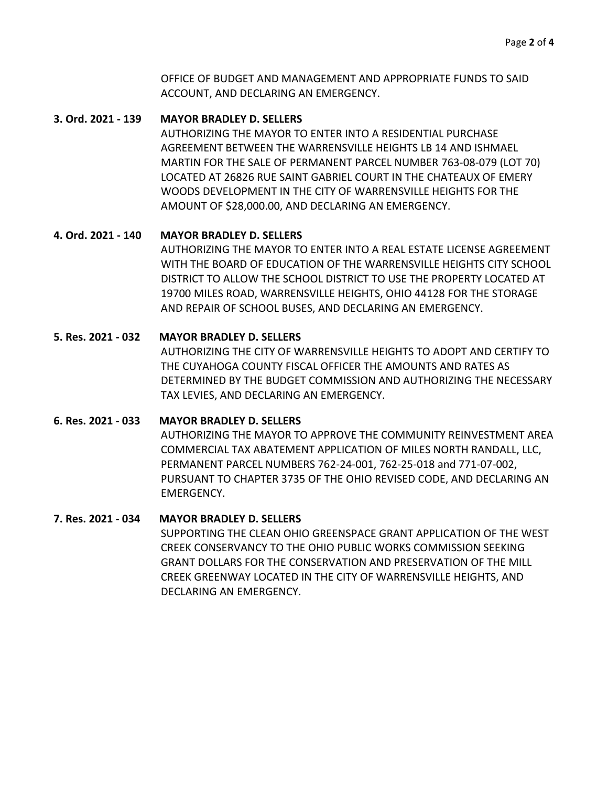OFFICE OF BUDGET AND MANAGEMENT AND APPROPRIATE FUNDS TO SAID ACCOUNT, AND DECLARING AN EMERGENCY.

#### **3. Ord. 2021 - 139 MAYOR BRADLEY D. SELLERS**

AUTHORIZING THE MAYOR TO ENTER INTO A RESIDENTIAL PURCHASE AGREEMENT BETWEEN THE WARRENSVILLE HEIGHTS LB 14 AND ISHMAEL MARTIN FOR THE SALE OF PERMANENT PARCEL NUMBER 763-08-079 (LOT 70) LOCATED AT 26826 RUE SAINT GABRIEL COURT IN THE CHATEAUX OF EMERY WOODS DEVELOPMENT IN THE CITY OF WARRENSVILLE HEIGHTS FOR THE AMOUNT OF \$28,000.00, AND DECLARING AN EMERGENCY.

#### **4. Ord. 2021 - 140 MAYOR BRADLEY D. SELLERS**

AUTHORIZING THE MAYOR TO ENTER INTO A REAL ESTATE LICENSE AGREEMENT WITH THE BOARD OF EDUCATION OF THE WARRENSVILLE HEIGHTS CITY SCHOOL DISTRICT TO ALLOW THE SCHOOL DISTRICT TO USE THE PROPERTY LOCATED AT 19700 MILES ROAD, WARRENSVILLE HEIGHTS, OHIO 44128 FOR THE STORAGE AND REPAIR OF SCHOOL BUSES, AND DECLARING AN EMERGENCY.

#### **5. Res. 2021 - 032 MAYOR BRADLEY D. SELLERS**

AUTHORIZING THE CITY OF WARRENSVILLE HEIGHTS TO ADOPT AND CERTIFY TO THE CUYAHOGA COUNTY FISCAL OFFICER THE AMOUNTS AND RATES AS DETERMINED BY THE BUDGET COMMISSION AND AUTHORIZING THE NECESSARY TAX LEVIES, AND DECLARING AN EMERGENCY.

#### **6. Res. 2021 - 033 MAYOR BRADLEY D. SELLERS**

AUTHORIZING THE MAYOR TO APPROVE THE COMMUNITY REINVESTMENT AREA COMMERCIAL TAX ABATEMENT APPLICATION OF MILES NORTH RANDALL, LLC, PERMANENT PARCEL NUMBERS 762-24-001, 762-25-018 and 771-07-002, PURSUANT TO CHAPTER 3735 OF THE OHIO REVISED CODE, AND DECLARING AN EMERGENCY.

#### **7. Res. 2021 - 034 MAYOR BRADLEY D. SELLERS**

SUPPORTING THE CLEAN OHIO GREENSPACE GRANT APPLICATION OF THE WEST CREEK CONSERVANCY TO THE OHIO PUBLIC WORKS COMMISSION SEEKING GRANT DOLLARS FOR THE CONSERVATION AND PRESERVATION OF THE MILL CREEK GREENWAY LOCATED IN THE CITY OF WARRENSVILLE HEIGHTS, AND DECLARING AN EMERGENCY.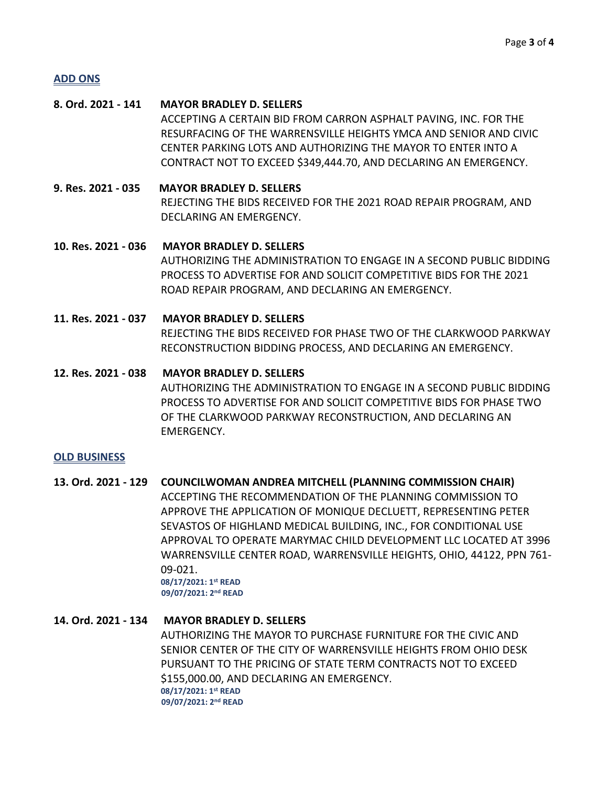#### **ADD ONS**

### **8. Ord. 2021 - 141 MAYOR BRADLEY D. SELLERS** ACCEPTING A CERTAIN BID FROM CARRON ASPHALT PAVING, INC. FOR THE RESURFACING OF THE WARRENSVILLE HEIGHTS YMCA AND SENIOR AND CIVIC CENTER PARKING LOTS AND AUTHORIZING THE MAYOR TO ENTER INTO A CONTRACT NOT TO EXCEED \$349,444.70, AND DECLARING AN EMERGENCY.

**9. Res. 2021 - 035 MAYOR BRADLEY D. SELLERS** REJECTING THE BIDS RECEIVED FOR THE 2021 ROAD REPAIR PROGRAM, AND DECLARING AN EMERGENCY.

- **10. Res. 2021 - 036 MAYOR BRADLEY D. SELLERS** AUTHORIZING THE ADMINISTRATION TO ENGAGE IN A SECOND PUBLIC BIDDING PROCESS TO ADVERTISE FOR AND SOLICIT COMPETITIVE BIDS FOR THE 2021 ROAD REPAIR PROGRAM, AND DECLARING AN EMERGENCY.
- **11. Res. 2021 - 037 MAYOR BRADLEY D. SELLERS** REJECTING THE BIDS RECEIVED FOR PHASE TWO OF THE CLARKWOOD PARKWAY RECONSTRUCTION BIDDING PROCESS, AND DECLARING AN EMERGENCY.
- **12. Res. 2021 - 038 MAYOR BRADLEY D. SELLERS** AUTHORIZING THE ADMINISTRATION TO ENGAGE IN A SECOND PUBLIC BIDDING PROCESS TO ADVERTISE FOR AND SOLICIT COMPETITIVE BIDS FOR PHASE TWO OF THE CLARKWOOD PARKWAY RECONSTRUCTION, AND DECLARING AN EMERGENCY.

#### **OLD BUSINESS**

## **13. Ord. 2021 - 129 COUNCILWOMAN ANDREA MITCHELL (PLANNING COMMISSION CHAIR)**

ACCEPTING THE RECOMMENDATION OF THE PLANNING COMMISSION TO APPROVE THE APPLICATION OF MONIQUE DECLUETT, REPRESENTING PETER SEVASTOS OF HIGHLAND MEDICAL BUILDING, INC., FOR CONDITIONAL USE APPROVAL TO OPERATE MARYMAC CHILD DEVELOPMENT LLC LOCATED AT 3996 WARRENSVILLE CENTER ROAD, WARRENSVILLE HEIGHTS, OHIO, 44122, PPN 761- 09-021.  **08/17/2021: 1st READ**

 **09/07/2021: 2nd READ**

#### **14. Ord. 2021 - 134 MAYOR BRADLEY D. SELLERS**

AUTHORIZING THE MAYOR TO PURCHASE FURNITURE FOR THE CIVIC AND SENIOR CENTER OF THE CITY OF WARRENSVILLE HEIGHTS FROM OHIO DESK PURSUANT TO THE PRICING OF STATE TERM CONTRACTS NOT TO EXCEED \$155,000.00, AND DECLARING AN EMERGENCY.  **08/17/2021: 1st READ 09/07/2021: 2nd READ**